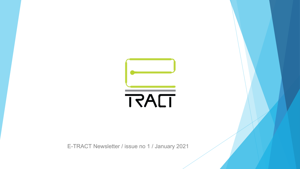

E-TRACT Newsletter / issue no 1 / January 2021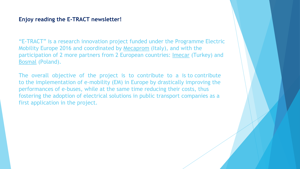#### **Enjoy reading the E-TRACT newsletter!**

"E-TRACT" is a research innovation project funded under the Programme Electric Mobility Europe 2016 and coordinated by Mecaprom (Italy), and with the participation of 2 more partners from 2 European countries: Imecar (Turkey) and Bosmal (Poland).

The overall objective of the project is to contribute to a is to contribute to the implementation of e-mobility (EM) in Europe by drastically improving the performances of e-buses, while at the same time reducing their costs, thus fostering the adoption of electrical solutions in public transport companies as a first application in the project.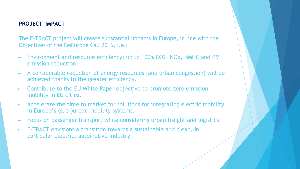#### **PROJECT IMPACT**

The E-TRACT project will create substantial impacts in Europe, in line with the Objectives of the EMEurope Call 2016, i.e.:

- ► Environment and resource efficiency: up to 100% CO2, NOx, NMHC and PM emission reduction.
- ► A considerable reduction of energy resources (and urban congestion) will be achieved thanks to the greater efficiency.
- ► Contribute to the EU White Paper objective to promote zero emission mobility in EU cities.
- ► Accelerate the time to market for solutions for integrating electric mobility in Europe's (sub-)urban mobility systems.
- ► Focus on passenger transport while considering urban freight and logistics.
- E-TRACT envisions a transition towards a sustainable and clean, in particular electric, automotive industry .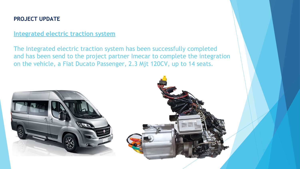## **PROJECT UPDATE**

## **Integrated electric traction system**

The Integrated electric traction system has been successfully completed and has been send to the project partner Imecar to complete the integration on the vehicle, a Fiat Ducato Passenger, 2.3 Mjt 120CV, up to 14 seats.

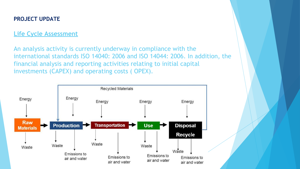## **PROJECT UPDATE**

# **Life Cycle Assessment**

An analysis activity is currently underway in compliance with the international standards ISO 14040: 2006 and ISO 14044: 2006. In addition, the financial analysis and reporting activities relating to initial capital investments (CAPEX) and operating costs ( OPEX).